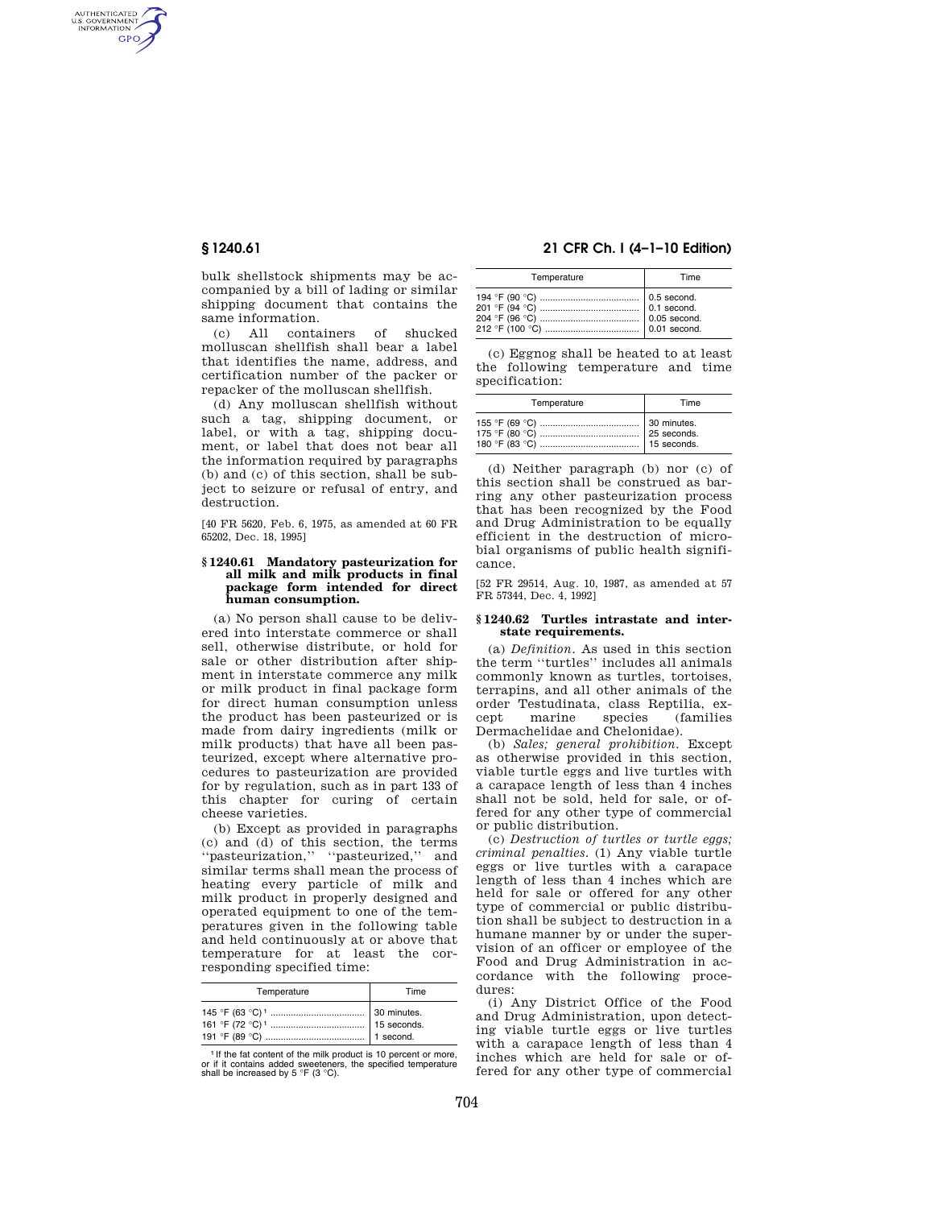AUTHENTICATED<br>U.S. GOVERNMENT<br>INFORMATION **GPO** 

> bulk shellstock shipments may be accompanied by a bill of lading or similar shipping document that contains the same information.

> (c) All containers of shucked molluscan shellfish shall bear a label that identifies the name, address, and certification number of the packer or repacker of the molluscan shellfish.

> (d) Any molluscan shellfish without such a tag, shipping document, or label, or with a tag, shipping document, or label that does not bear all the information required by paragraphs (b) and (c) of this section, shall be subject to seizure or refusal of entry, and destruction.

> [40 FR 5620, Feb. 6, 1975, as amended at 60 FR 65202, Dec. 18, 1995]

#### **§ 1240.61 Mandatory pasteurization for all milk and milk products in final package form intended for direct human consumption.**

(a) No person shall cause to be delivered into interstate commerce or shall sell, otherwise distribute, or hold for sale or other distribution after shipment in interstate commerce any milk or milk product in final package form for direct human consumption unless the product has been pasteurized or is made from dairy ingredients (milk or milk products) that have all been pasteurized, except where alternative procedures to pasteurization are provided for by regulation, such as in part 133 of this chapter for curing of certain cheese varieties.

(b) Except as provided in paragraphs (c) and (d) of this section, the terms ''pasteurization,'' ''pasteurized,'' and similar terms shall mean the process of heating every particle of milk and milk product in properly designed and operated equipment to one of the temperatures given in the following table and held continuously at or above that temperature for at least the corresponding specified time:

| Temperature | Time                         |
|-------------|------------------------------|
|             | 30 minutes.<br>$15$ seconds. |

<sup>1</sup> If the fat content of the milk product is 10 percent or more, or if it contains added sweeteners, the specified temperature shall be increased by 5 °F (3 °C).

# **§ 1240.61 21 CFR Ch. I (4–1–10 Edition)**

| Temperature | Time |
|-------------|------|
|             |      |

(c) Eggnog shall be heated to at least the following temperature and time specification:

| Temperature | Time        |
|-------------|-------------|
|             | 25 seconds. |

(d) Neither paragraph (b) nor (c) of this section shall be construed as barring any other pasteurization process that has been recognized by the Food and Drug Administration to be equally efficient in the destruction of microbial organisms of public health significance.

[52 FR 29514, Aug. 10, 1987, as amended at 57 FR 57344, Dec. 4, 1992]

#### **§ 1240.62 Turtles intrastate and interstate requirements.**

(a) *Definition.* As used in this section the term ''turtles'' includes all animals commonly known as turtles, tortoises, terrapins, and all other animals of the order Testudinata, class Reptilia, except marine species (families Dermachelidae and Chelonidae).

(b) *Sales; general prohibition.* Except as otherwise provided in this section, viable turtle eggs and live turtles with a carapace length of less than 4 inches shall not be sold, held for sale, or offered for any other type of commercial or public distribution.

(c) *Destruction of turtles or turtle eggs; criminal penalties.* (1) Any viable turtle eggs or live turtles with a carapace length of less than 4 inches which are held for sale or offered for any other type of commercial or public distribution shall be subject to destruction in a humane manner by or under the supervision of an officer or employee of the Food and Drug Administration in accordance with the following procedures:

(i) Any District Office of the Food and Drug Administration, upon detecting viable turtle eggs or live turtles with a carapace length of less than 4 inches which are held for sale or offered for any other type of commercial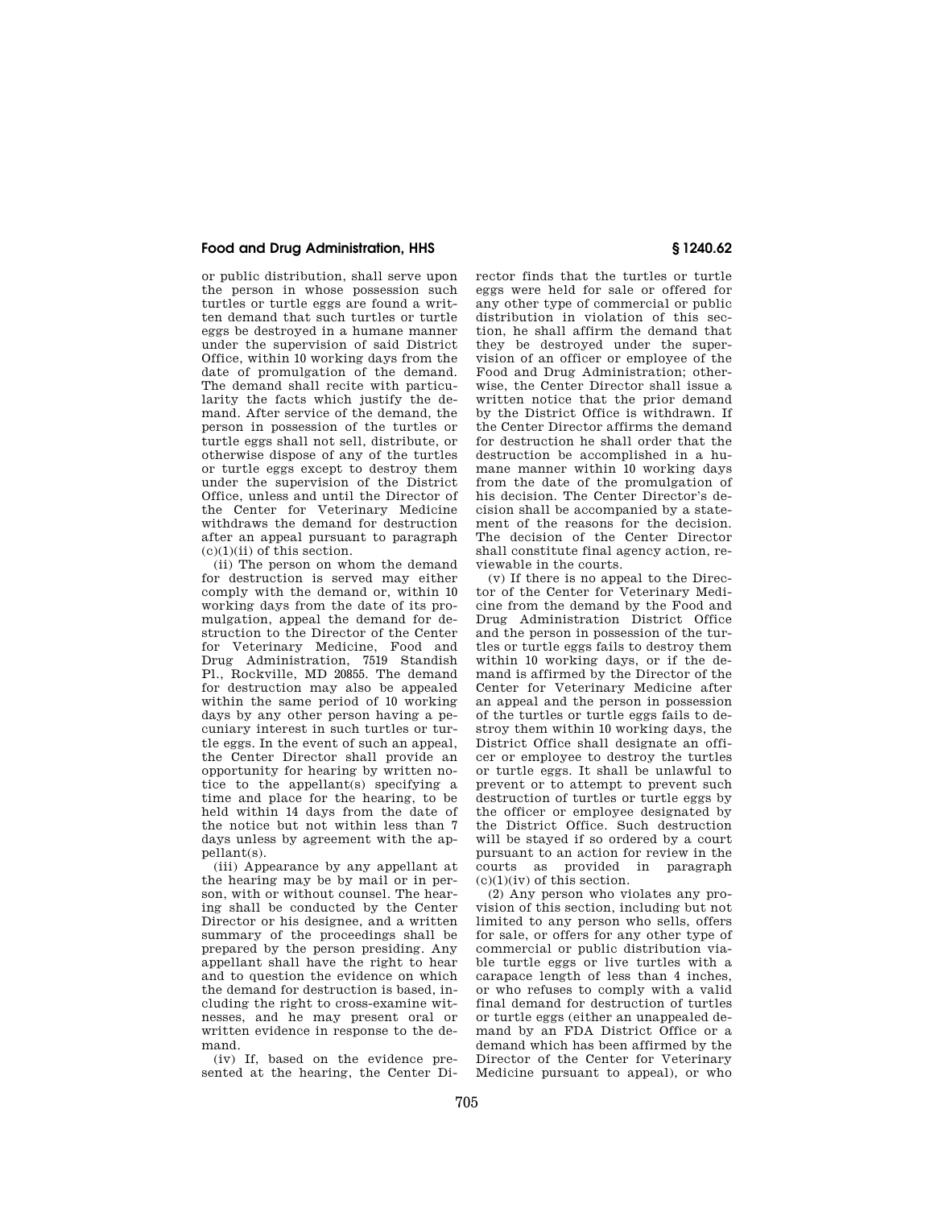# **Food and Drug Administration, HHS § 1240.62**

or public distribution, shall serve upon the person in whose possession such turtles or turtle eggs are found a written demand that such turtles or turtle eggs be destroyed in a humane manner under the supervision of said District Office, within 10 working days from the date of promulgation of the demand. The demand shall recite with particularity the facts which justify the demand. After service of the demand, the person in possession of the turtles or turtle eggs shall not sell, distribute, or otherwise dispose of any of the turtles or turtle eggs except to destroy them under the supervision of the District Office, unless and until the Director of the Center for Veterinary Medicine withdraws the demand for destruction after an appeal pursuant to paragraph  $(c)(1)(ii)$  of this section.

(ii) The person on whom the demand for destruction is served may either comply with the demand or, within 10 working days from the date of its promulgation, appeal the demand for destruction to the Director of the Center for Veterinary Medicine, Food and Drug Administration, 7519 Standish Pl., Rockville, MD 20855. The demand for destruction may also be appealed within the same period of 10 working days by any other person having a pecuniary interest in such turtles or turtle eggs. In the event of such an appeal, the Center Director shall provide an opportunity for hearing by written notice to the appellant(s) specifying a time and place for the hearing, to be held within 14 days from the date of the notice but not within less than 7 days unless by agreement with the appellant(s).

(iii) Appearance by any appellant at the hearing may be by mail or in person, with or without counsel. The hearing shall be conducted by the Center Director or his designee, and a written summary of the proceedings shall be prepared by the person presiding. Any appellant shall have the right to hear and to question the evidence on which the demand for destruction is based, including the right to cross-examine witnesses, and he may present oral or written evidence in response to the demand.

(iv) If, based on the evidence presented at the hearing, the Center Di-

rector finds that the turtles or turtle eggs were held for sale or offered for any other type of commercial or public distribution in violation of this section, he shall affirm the demand that they be destroyed under the supervision of an officer or employee of the Food and Drug Administration; otherwise, the Center Director shall issue a written notice that the prior demand by the District Office is withdrawn. If the Center Director affirms the demand for destruction he shall order that the destruction be accomplished in a humane manner within 10 working days from the date of the promulgation of his decision. The Center Director's decision shall be accompanied by a statement of the reasons for the decision. The decision of the Center Director shall constitute final agency action, reviewable in the courts.

(v) If there is no appeal to the Director of the Center for Veterinary Medicine from the demand by the Food and Drug Administration District Office and the person in possession of the turtles or turtle eggs fails to destroy them within 10 working days, or if the demand is affirmed by the Director of the Center for Veterinary Medicine after an appeal and the person in possession of the turtles or turtle eggs fails to destroy them within 10 working days, the District Office shall designate an officer or employee to destroy the turtles or turtle eggs. It shall be unlawful to prevent or to attempt to prevent such destruction of turtles or turtle eggs by the officer or employee designated by the District Office. Such destruction will be stayed if so ordered by a court pursuant to an action for review in the courts as provided in paragraph  $(c)(1)(iv)$  of this section.

(2) Any person who violates any provision of this section, including but not limited to any person who sells, offers for sale, or offers for any other type of commercial or public distribution viable turtle eggs or live turtles with a carapace length of less than 4 inches, or who refuses to comply with a valid final demand for destruction of turtles or turtle eggs (either an unappealed demand by an FDA District Office or a demand which has been affirmed by the Director of the Center for Veterinary Medicine pursuant to appeal), or who